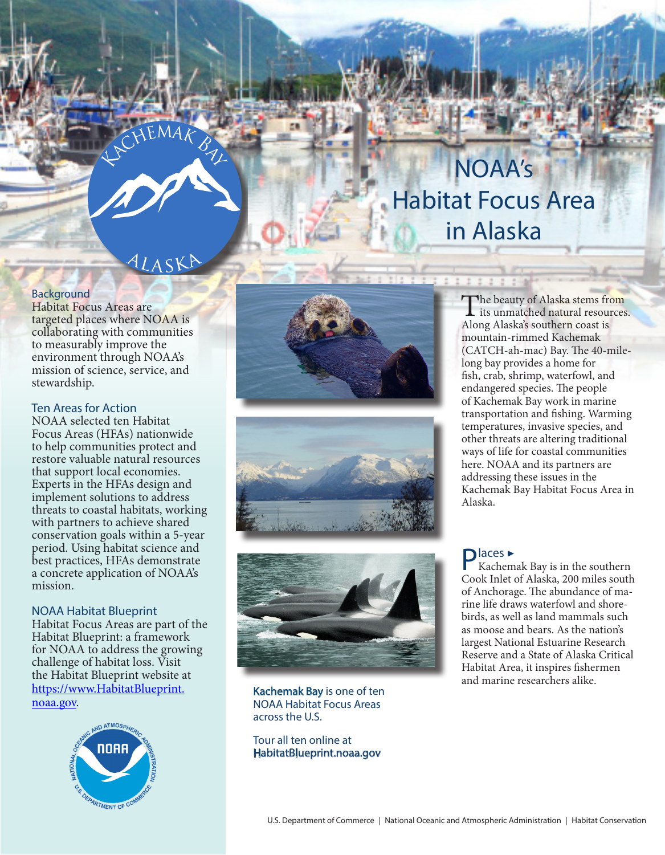# NOAA's Habitat Focus Area in Alaska

## ALASKA

KCHEMAK BAY

#### **Background**

Habitat Focus Areas are targeted places where NOAA is collaborating with communities to measurably improve the environment through NOAA's mission of science, service, and stewardship.

#### Ten Areas for Action

NOAA selected ten Habitat Focus Areas (HFAs) nationwide to help communities protect and restore valuable natural resources that support local economies. Experts in the HFAs design and implement solutions to address threats to coastal habitats, working with partners to achieve shared conservation goals within a 5-year period. Using habitat science and best practices, HFAs demonstrate a concrete application of NOAA's mission.

#### NOAA Habitat Blueprint

Habitat Focus Areas are part of the Habitat Blueprint: a framework for NOAA to address the growing challenge of habitat loss. Visit the Habitat Blueprint website at https://www.HabitatBlueprint. noaa.gov.









Kachemak Bay is one of ten NOAA Habitat Focus Areas across the U.S.

Tour all ten online at HabitatBlueprint.noaa.gov

The beauty of Alaska stems from<br>its unmatched natural resources. Along Alaska's southern coast is mountain-rimmed Kachemak (CATCH-ah-mac) Bay. The 40-milelong bay provides a home for fish, crab, shrimp, waterfowl, and endangered species. The people of Kachemak Bay work in marine transportation and fishing. Warming temperatures, invasive species, and other threats are altering traditional ways of life for coastal communities here. NOAA and its partners are addressing these issues in the Kachemak Bay Habitat Focus Area in Alaska.

Places ▶ Kachemak Bay is in the southern Cook Inlet of Alaska, 200 miles south of Anchorage. The abundance of marine life draws waterfowl and shorebirds, as well as land mammals such as moose and bears. As the nation's largest National Estuarine Research Reserve and a State of Alaska Critical Habitat Area, it inspires fishermen and marine researchers alike.